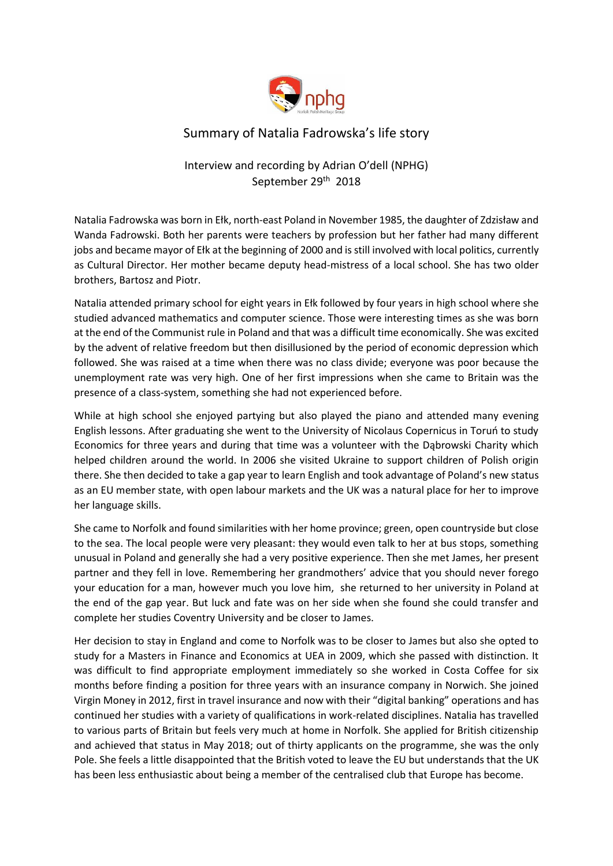

## Summary of Natalia Fadrowska's life story

## Interview and recording by Adrian O'dell (NPHG) September 29th 2018

Natalia Fadrowska was born in Ełk, north-east Poland in November 1985, the daughter of Zdzisław and Wanda Fadrowski. Both her parents were teachers by profession but her father had many different jobs and became mayor of Ełk at the beginning of 2000 and is still involved with local politics, currently as Cultural Director. Her mother became deputy head-mistress of a local school. She has two older brothers, Bartosz and Piotr.

Natalia attended primary school for eight years in Ełk followed by four years in high school where she studied advanced mathematics and computer science. Those were interesting times as she was born at the end of the Communist rule in Poland and that was a difficult time economically. She was excited by the advent of relative freedom but then disillusioned by the period of economic depression which followed. She was raised at a time when there was no class divide; everyone was poor because the unemployment rate was very high. One of her first impressions when she came to Britain was the presence of a class-system, something she had not experienced before.

While at high school she enjoyed partying but also played the piano and attended many evening English lessons. After graduating she went to the University of Nicolaus Copernicus in Toruń to study Economics for three years and during that time was a volunteer with the Dąbrowski Charity which helped children around the world. In 2006 she visited Ukraine to support children of Polish origin there. She then decided to take a gap year to learn English and took advantage of Poland's new status as an EU member state, with open labour markets and the UK was a natural place for her to improve her language skills.

She came to Norfolk and found similarities with her home province; green, open countryside but close to the sea. The local people were very pleasant: they would even talk to her at bus stops, something unusual in Poland and generally she had a very positive experience. Then she met James, her present partner and they fell in love. Remembering her grandmothers' advice that you should never forego your education for a man, however much you love him, she returned to her university in Poland at the end of the gap year. But luck and fate was on her side when she found she could transfer and complete her studies Coventry University and be closer to James.

Her decision to stay in England and come to Norfolk was to be closer to James but also she opted to study for a Masters in Finance and Economics at UEA in 2009, which she passed with distinction. It was difficult to find appropriate employment immediately so she worked in Costa Coffee for six months before finding a position for three years with an insurance company in Norwich. She joined Virgin Money in 2012, first in travel insurance and now with their "digital banking" operations and has continued her studies with a variety of qualifications in work-related disciplines. Natalia has travelled to various parts of Britain but feels very much at home in Norfolk. She applied for British citizenship and achieved that status in May 2018; out of thirty applicants on the programme, she was the only Pole. She feels a little disappointed that the British voted to leave the EU but understands that the UK has been less enthusiastic about being a member of the centralised club that Europe has become.